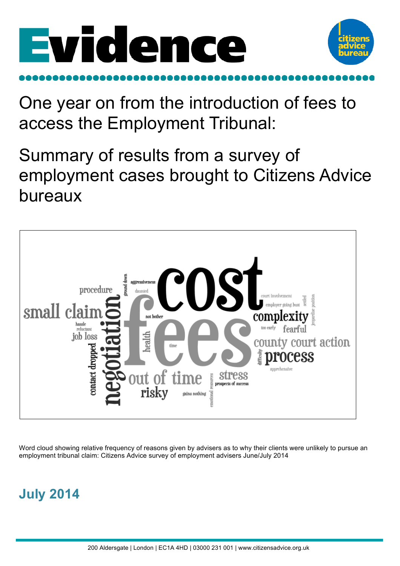



One year on from the introduction of fees to access the Employment Tribunal:

Summary of results from a survey of employment cases brought to Citizens Advice bureaux



Word cloud showing relative frequency of reasons given by advisers as to why their clients were unlikely to pursue an employment tribunal claim: Citizens Advice survey of employment advisers June/July 2014

# **July 2014**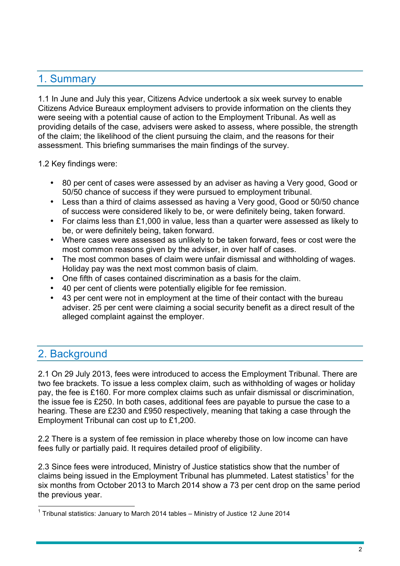# 1. Summary

1.1 In June and July this year, Citizens Advice undertook a six week survey to enable Citizens Advice Bureaux employment advisers to provide information on the clients they were seeing with a potential cause of action to the Employment Tribunal. As well as providing details of the case, advisers were asked to assess, where possible, the strength of the claim; the likelihood of the client pursuing the claim, and the reasons for their assessment. This briefing summarises the main findings of the survey.

1.2 Key findings were:

- 80 per cent of cases were assessed by an adviser as having a Very good, Good or 50/50 chance of success if they were pursued to employment tribunal.
- Less than a third of claims assessed as having a Very good, Good or 50/50 chance of success were considered likely to be, or were definitely being, taken forward.
- For claims less than £1,000 in value, less than a quarter were assessed as likely to be, or were definitely being, taken forward.
- Where cases were assessed as unlikely to be taken forward, fees or cost were the most common reasons given by the adviser, in over half of cases.
- The most common bases of claim were unfair dismissal and withholding of wages. Holiday pay was the next most common basis of claim.
- One fifth of cases contained discrimination as a basis for the claim.
- 40 per cent of clients were potentially eligible for fee remission.
- 43 per cent were not in employment at the time of their contact with the bureau adviser. 25 per cent were claiming a social security benefit as a direct result of the alleged complaint against the employer.

# 2. Background

2.1 On 29 July 2013, fees were introduced to access the Employment Tribunal. There are two fee brackets. To issue a less complex claim, such as withholding of wages or holiday pay, the fee is £160. For more complex claims such as unfair dismissal or discrimination, the issue fee is £250. In both cases, additional fees are payable to pursue the case to a hearing. These are £230 and £950 respectively, meaning that taking a case through the Employment Tribunal can cost up to £1,200.

2.2 There is a system of fee remission in place whereby those on low income can have fees fully or partially paid. It requires detailed proof of eligibility.

2.3 Since fees were introduced, Ministry of Justice statistics show that the number of claims being issued in the Employment Tribunal has plummeted. Latest statistics<sup>1</sup> for the six months from October 2013 to March 2014 show a 73 per cent drop on the same period the previous year.

 $1$  Tribunal statistics: January to March 2014 tables – Ministry of Justice 12 June 2014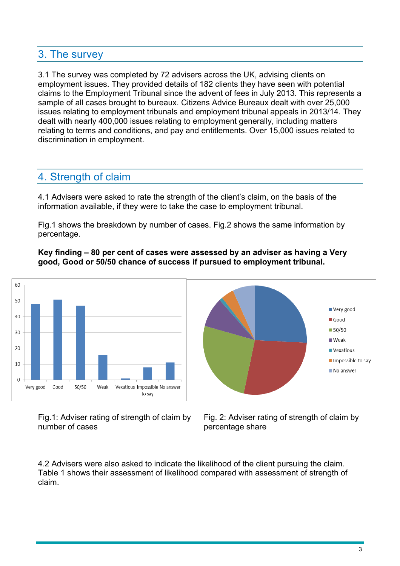### 3. The survey

3.1 The survey was completed by 72 advisers across the UK, advising clients on employment issues. They provided details of 182 clients they have seen with potential claims to the Employment Tribunal since the advent of fees in July 2013. This represents a sample of all cases brought to bureaux. Citizens Advice Bureaux dealt with over 25,000 issues relating to employment tribunals and employment tribunal appeals in 2013/14. They dealt with nearly 400,000 issues relating to employment generally, including matters relating to terms and conditions, and pay and entitlements. Over 15,000 issues related to discrimination in employment.

# 4. Strength of claim

4.1 Advisers were asked to rate the strength of the client's claim, on the basis of the information available, if they were to take the case to employment tribunal.

Fig.1 shows the breakdown by number of cases. Fig.2 shows the same information by percentage.



#### **Key finding – 80 per cent of cases were assessed by an adviser as having a Very good, Good or 50/50 chance of success if pursued to employment tribunal.**

Fig.1: Adviser rating of strength of claim by number of cases

Fig. 2: Adviser rating of strength of claim by percentage share

4.2 Advisers were also asked to indicate the likelihood of the client pursuing the claim. Table 1 shows their assessment of likelihood compared with assessment of strength of claim.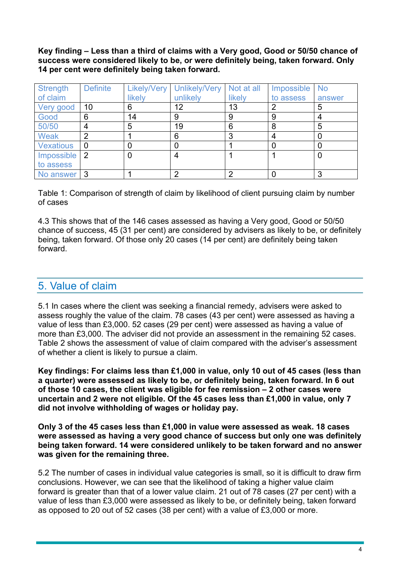**Key finding – Less than a third of claims with a Very good, Good or 50/50 chance of success were considered likely to be, or were definitely being, taken forward. Only 14 per cent were definitely being taken forward.**

| <b>Strength</b>   | <b>Definite</b> |        | Likely/Very   Unlikely/Very | Not at all | <b>Impossible</b> | <b>No</b> |
|-------------------|-----------------|--------|-----------------------------|------------|-------------------|-----------|
| of claim          |                 | likely | unlikely                    | likely     | to assess         | answer    |
| Very good         | 10              | 6      | 12                          | 13         | 2                 | 5         |
| Good              | 6               | 14     |                             | 9          | 9                 |           |
| 50/50             |                 | 5      | 19                          | 6          | 8                 | 5         |
| <b>Weak</b>       |                 |        | 6                           | 3          |                   |           |
| <b>Vexatious</b>  |                 |        |                             |            |                   |           |
| <b>Impossible</b> | $\overline{2}$  | 0      | Δ                           |            |                   |           |
| to assess         |                 |        |                             |            |                   |           |
| No answer         | 3               |        | റ                           | ⌒          |                   | ົ         |

Table 1: Comparison of strength of claim by likelihood of client pursuing claim by number of cases

4.3 This shows that of the 146 cases assessed as having a Very good, Good or 50/50 chance of success, 45 (31 per cent) are considered by advisers as likely to be, or definitely being, taken forward. Of those only 20 cases (14 per cent) are definitely being taken forward.

# 5. Value of claim

5.1 In cases where the client was seeking a financial remedy, advisers were asked to assess roughly the value of the claim. 78 cases (43 per cent) were assessed as having a value of less than £3,000. 52 cases (29 per cent) were assessed as having a value of more than £3,000. The adviser did not provide an assessment in the remaining 52 cases. Table 2 shows the assessment of value of claim compared with the adviser's assessment of whether a client is likely to pursue a claim.

**Key findings: For claims less than £1,000 in value, only 10 out of 45 cases (less than a quarter) were assessed as likely to be, or definitely being, taken forward. In 6 out of those 10 cases, the client was eligible for fee remission – 2 other cases were uncertain and 2 were not eligible. Of the 45 cases less than £1,000 in value, only 7 did not involve withholding of wages or holiday pay.**

**Only 3 of the 45 cases less than £1,000 in value were assessed as weak. 18 cases were assessed as having a very good chance of success but only one was definitely being taken forward. 14 were considered unlikely to be taken forward and no answer was given for the remaining three.**

5.2 The number of cases in individual value categories is small, so it is difficult to draw firm conclusions. However, we can see that the likelihood of taking a higher value claim forward is greater than that of a lower value claim. 21 out of 78 cases (27 per cent) with a value of less than £3,000 were assessed as likely to be, or definitely being, taken forward as opposed to 20 out of 52 cases (38 per cent) with a value of £3,000 or more.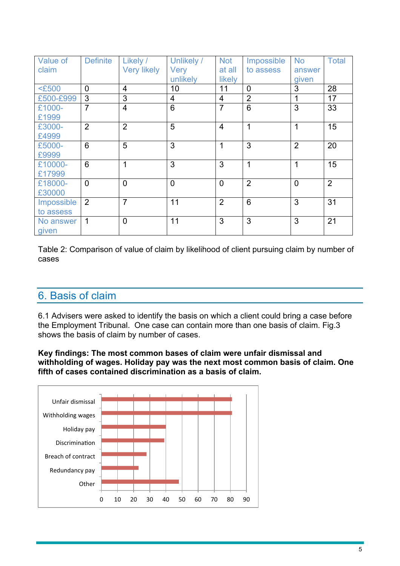| Value of   | <b>Definite</b> | Likely /           | Unlikely /  | <b>Not</b>     | Impossible     | <b>No</b>      | <b>Total</b>   |
|------------|-----------------|--------------------|-------------|----------------|----------------|----------------|----------------|
| claim      |                 | <b>Very likely</b> | <b>Very</b> | at all         | to assess      | answer         |                |
|            |                 |                    | unlikely    | likely         |                | given          |                |
| $<$ £500   | $\overline{0}$  | 4                  | 10          | 11             | $\overline{0}$ | 3              | 28             |
| £500-£999  | 3               | 3                  | 4           | 4              | $\overline{2}$ | 1              | 17             |
| £1000-     | $\overline{7}$  | $\overline{4}$     | 6           | $\overline{7}$ | 6              | 3              | 33             |
| £1999      |                 |                    |             |                |                |                |                |
| £3000-     | $\overline{2}$  | $\overline{2}$     | 5           | $\overline{4}$ | 1              | 1              | 15             |
| £4999      |                 |                    |             |                |                |                |                |
| £5000-     | 6               | 5                  | 3           | 1              | 3              | $\overline{2}$ | 20             |
| £9999      |                 |                    |             |                |                |                |                |
| £10000-    | 6               | 1                  | 3           | 3              | 1              | 1              | 15             |
| £17999     |                 |                    |             |                |                |                |                |
| £18000-    | $\overline{0}$  | $\overline{0}$     | $\mathbf 0$ | $\mathbf 0$    | $\overline{2}$ | $\overline{0}$ | $\overline{2}$ |
| £30000     |                 |                    |             |                |                |                |                |
| Impossible | 2               | $\overline{7}$     | 11          | $\overline{2}$ | 6              | 3              | 31             |
| to assess  |                 |                    |             |                |                |                |                |
| No answer  | 1               | $\overline{0}$     | 11          | 3              | 3              | 3              | 21             |
| given      |                 |                    |             |                |                |                |                |

Table 2: Comparison of value of claim by likelihood of client pursuing claim by number of cases

# 6. Basis of claim

6.1 Advisers were asked to identify the basis on which a client could bring a case before the Employment Tribunal. One case can contain more than one basis of claim. Fig.3 shows the basis of claim by number of cases.

**Key findings: The most common bases of claim were unfair dismissal and withholding of wages. Holiday pay was the next most common basis of claim. One fifth of cases contained discrimination as a basis of claim.**

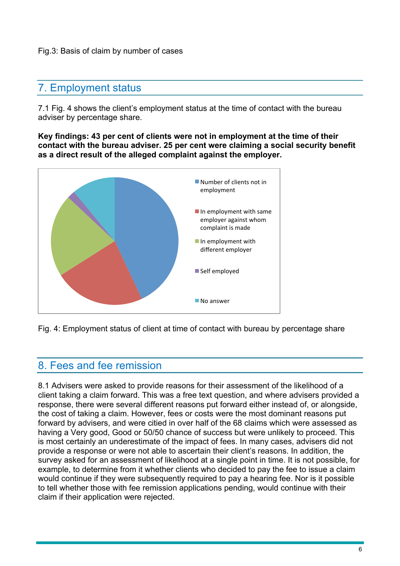#### Fig.3: Basis of claim by number of cases

#### 7. Employment status

7.1 Fig. 4 shows the client's employment status at the time of contact with the bureau adviser by percentage share.

**Key findings: 43 per cent of clients were not in employment at the time of their contact with the bureau adviser. 25 per cent were claiming a social security benefit as a direct result of the alleged complaint against the employer.**



Fig. 4: Employment status of client at time of contact with bureau by percentage share

## 8. Fees and fee remission

8.1 Advisers were asked to provide reasons for their assessment of the likelihood of a client taking a claim forward. This was a free text question, and where advisers provided a response, there were several different reasons put forward either instead of, or alongside, the cost of taking a claim. However, fees or costs were the most dominant reasons put forward by advisers, and were citied in over half of the 68 claims which were assessed as having a Very good, Good or 50/50 chance of success but were unlikely to proceed. This is most certainly an underestimate of the impact of fees. In many cases, advisers did not provide a response or were not able to ascertain their client's reasons. In addition, the survey asked for an assessment of likelihood at a single point in time. It is not possible, for example, to determine from it whether clients who decided to pay the fee to issue a claim would continue if they were subsequently required to pay a hearing fee. Nor is it possible to tell whether those with fee remission applications pending, would continue with their claim if their application were rejected.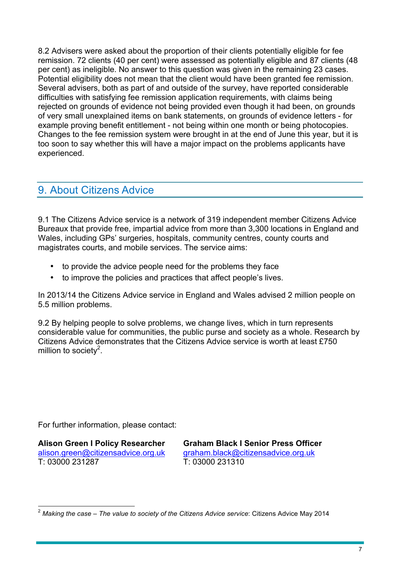8.2 Advisers were asked about the proportion of their clients potentially eligible for fee remission. 72 clients (40 per cent) were assessed as potentially eligible and 87 clients (48 per cent) as ineligible. No answer to this question was given in the remaining 23 cases. Potential eligibility does not mean that the client would have been granted fee remission. Several advisers, both as part of and outside of the survey, have reported considerable difficulties with satisfying fee remission application requirements, with claims being rejected on grounds of evidence not being provided even though it had been, on grounds of very small unexplained items on bank statements, on grounds of evidence letters - for example proving benefit entitlement - not being within one month or being photocopies. Changes to the fee remission system were brought in at the end of June this year, but it is too soon to say whether this will have a major impact on the problems applicants have experienced.

## 9. About Citizens Advice

9.1 The Citizens Advice service is a network of 319 independent member Citizens Advice Bureaux that provide free, impartial advice from more than 3,300 locations in England and Wales, including GPs' surgeries, hospitals, community centres, county courts and magistrates courts, and mobile services. The service aims:

- to provide the advice people need for the problems they face
- to improve the policies and practices that affect people's lives.

In 2013/14 the Citizens Advice service in England and Wales advised 2 million people on 5.5 million problems.

9.2 By helping people to solve problems, we change lives, which in turn represents considerable value for communities, the public purse and society as a whole. Research by Citizens Advice demonstrates that the Citizens Advice service is worth at least £750 million to society<sup>2</sup>.

For further information, please contact:

T: 03000 231287 T: 03000 231310

**Alison Green I Policy Researcher Graham Black I Senior Press Officer** alison.green@citizensadvice.org.uk graham.black@citizensadvice.org.uk

 <sup>2</sup> *Making the case – The value to society of the Citizens Advice service*: Citizens Advice May 2014